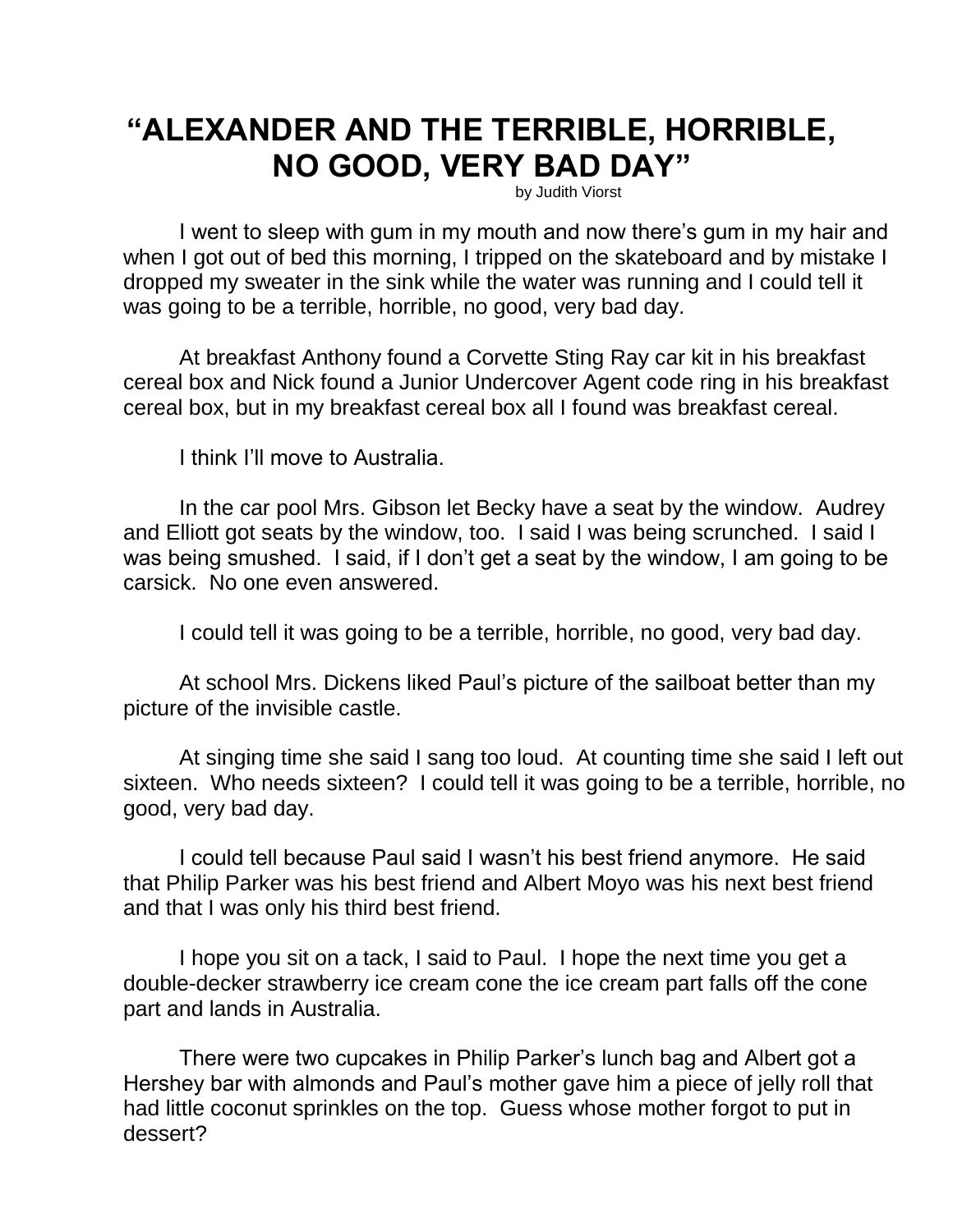## **"ALEXANDER AND THE TERRIBLE, HORRIBLE, NO GOOD, VERY BAD DAY"**

by Judith Viorst

I went to sleep with gum in my mouth and now there's gum in my hair and when I got out of bed this morning, I tripped on the skateboard and by mistake I dropped my sweater in the sink while the water was running and I could tell it was going to be a terrible, horrible, no good, very bad day.

At breakfast Anthony found a Corvette Sting Ray car kit in his breakfast cereal box and Nick found a Junior Undercover Agent code ring in his breakfast cereal box, but in my breakfast cereal box all I found was breakfast cereal.

I think I'll move to Australia.

In the car pool Mrs. Gibson let Becky have a seat by the window. Audrey and Elliott got seats by the window, too. I said I was being scrunched. I said I was being smushed. I said, if I don't get a seat by the window, I am going to be carsick. No one even answered.

I could tell it was going to be a terrible, horrible, no good, very bad day.

At school Mrs. Dickens liked Paul's picture of the sailboat better than my picture of the invisible castle.

At singing time she said I sang too loud. At counting time she said I left out sixteen. Who needs sixteen? I could tell it was going to be a terrible, horrible, no good, very bad day.

I could tell because Paul said I wasn't his best friend anymore. He said that Philip Parker was his best friend and Albert Moyo was his next best friend and that I was only his third best friend.

I hope you sit on a tack, I said to Paul. I hope the next time you get a double-decker strawberry ice cream cone the ice cream part falls off the cone part and lands in Australia.

There were two cupcakes in Philip Parker's lunch bag and Albert got a Hershey bar with almonds and Paul's mother gave him a piece of jelly roll that had little coconut sprinkles on the top. Guess whose mother forgot to put in dessert?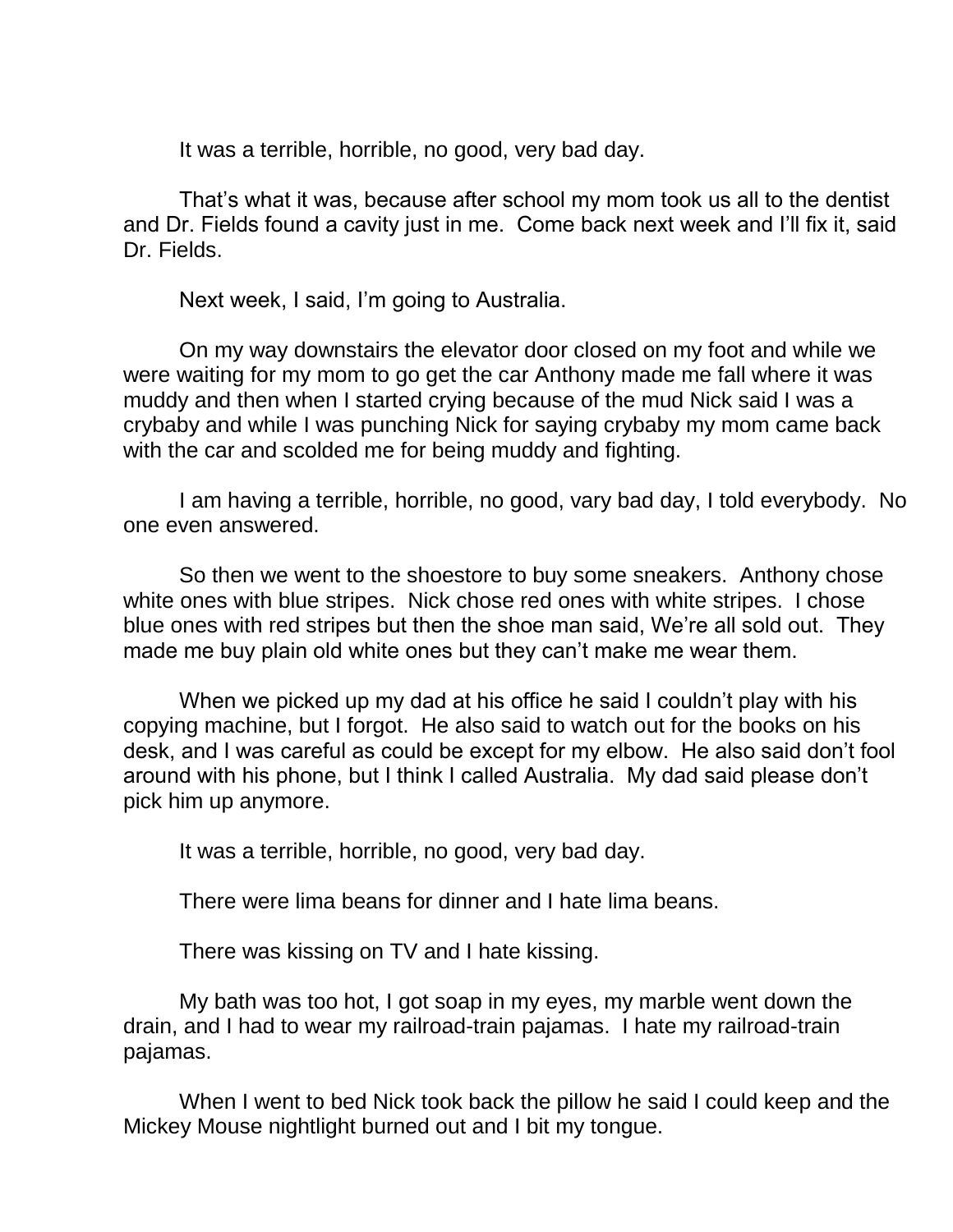It was a terrible, horrible, no good, very bad day.

That's what it was, because after school my mom took us all to the dentist and Dr. Fields found a cavity just in me. Come back next week and I'll fix it, said Dr. Fields.

Next week, I said, I'm going to Australia.

On my way downstairs the elevator door closed on my foot and while we were waiting for my mom to go get the car Anthony made me fall where it was muddy and then when I started crying because of the mud Nick said I was a crybaby and while I was punching Nick for saying crybaby my mom came back with the car and scolded me for being muddy and fighting.

I am having a terrible, horrible, no good, vary bad day, I told everybody. No one even answered.

So then we went to the shoestore to buy some sneakers. Anthony chose white ones with blue stripes. Nick chose red ones with white stripes. I chose blue ones with red stripes but then the shoe man said, We're all sold out. They made me buy plain old white ones but they can't make me wear them.

When we picked up my dad at his office he said I couldn't play with his copying machine, but I forgot. He also said to watch out for the books on his desk, and I was careful as could be except for my elbow. He also said don't fool around with his phone, but I think I called Australia. My dad said please don't pick him up anymore.

It was a terrible, horrible, no good, very bad day.

There were lima beans for dinner and I hate lima beans.

There was kissing on TV and I hate kissing.

My bath was too hot, I got soap in my eyes, my marble went down the drain, and I had to wear my railroad-train pajamas. I hate my railroad-train pajamas.

When I went to bed Nick took back the pillow he said I could keep and the Mickey Mouse nightlight burned out and I bit my tongue.